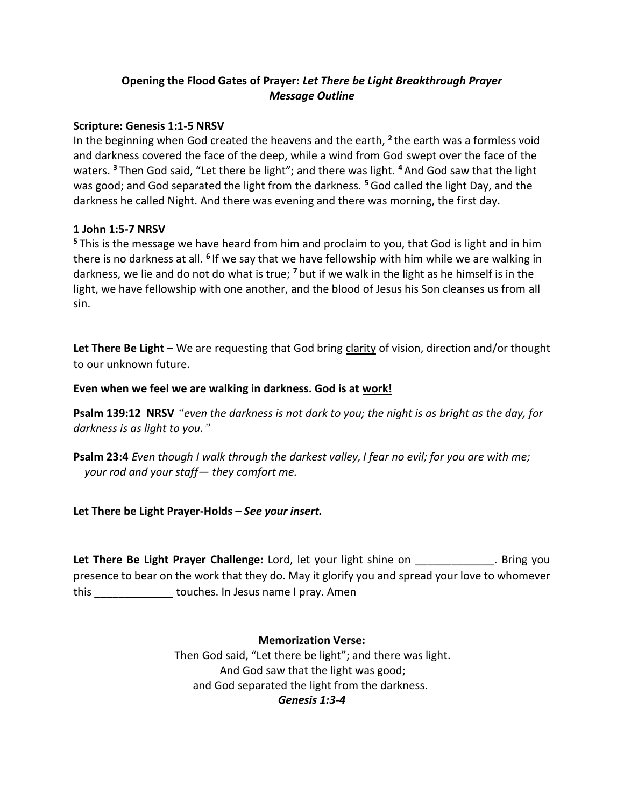# **Opening the Flood Gates of Prayer:** *Let There be Light Breakthrough Prayer Message Outline*

### **Scripture: Genesis 1:1-5 NRSV**

In the beginning when God created the heavens and the earth, **<sup>2</sup>** the earth was a formless void and darkness covered the face of the deep, while a wind from God swept over the face of the waters. **<sup>3</sup>** Then God said, "Let there be light"; and there was light. **<sup>4</sup>** And God saw that the light was good; and God separated the light from the darkness. **<sup>5</sup>**God called the light Day, and the darkness he called Night. And there was evening and there was morning, the first day.

## **1 John 1:5-7 NRSV**

**<sup>5</sup>** This is the message we have heard from him and proclaim to you, that God is light and in him there is no darkness at all. <sup>6</sup> If we say that we have fellowship with him while we are walking in darkness, we lie and do not do what is true; **<sup>7</sup>** but if we walk in the light as he himself is in the light, we have fellowship with one another, and the blood of Jesus his Son cleanses us from all sin.

**Let There Be Light –** We are requesting that God bring clarity of vision, direction and/or thought to our unknown future.

## **Even when we feel we are walking in darkness. God is at work!**

**Psalm 139:12 NRSV** *"even the darkness is not dark to you; the night is as bright as the day, for darkness is as light to you."*

**Psalm 23:4** *Even though I walk through the darkest valley, I fear no evil; for you are with me; your rod and your staff— they comfort me.*

### **Let There be Light Prayer-Holds –** *See your insert.*

Let There Be Light Prayer Challenge: Lord, let your light shine on \_\_\_\_\_\_\_\_\_\_\_\_\_. Bring you presence to bear on the work that they do. May it glorify you and spread your love to whomever this \_\_\_\_\_\_\_\_\_\_\_\_\_ touches. In Jesus name I pray. Amen

> **Memorization Verse:** Then God said, "Let there be light"; and there was light. And God saw that the light was good; and God separated the light from the darkness. *Genesis 1:3-4*